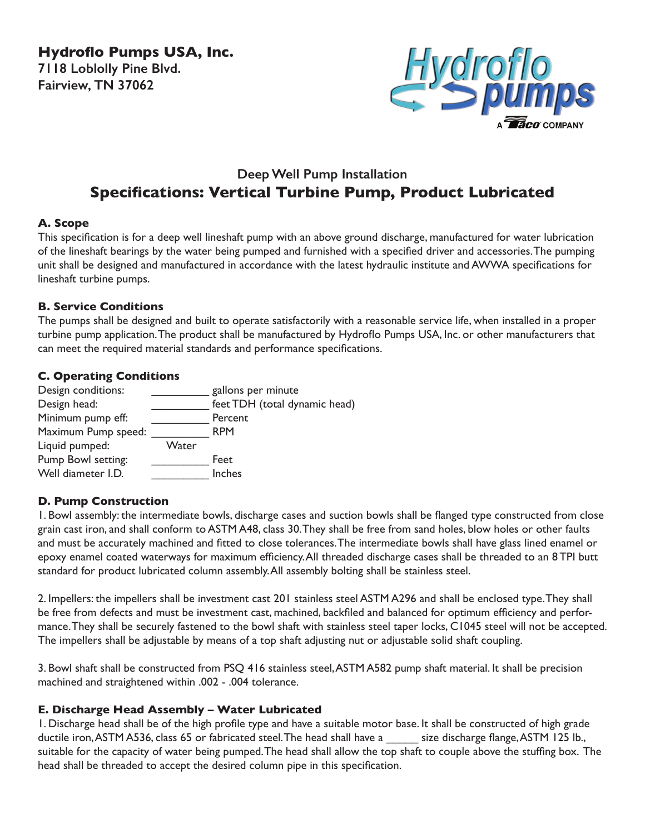**Hydroflo Pumps USA, Inc. 7118 Loblolly Pine Blvd. Fairview, TN 37062**



# **Deep Well Pump Installation Specifications: Vertical Turbine Pump, Product Lubricated**

# **A. Scope**

This specification is for a deep well lineshaft pump with an above ground discharge, manufactured for water lubrication of the lineshaft bearings by the water being pumped and furnished with a specified driver and accessories. The pumping unit shall be designed and manufactured in accordance with the latest hydraulic institute and AWWA specifications for lineshaft turbine pumps.

### **B. Service Conditions**

The pumps shall be designed and built to operate satisfactorily with a reasonable service life, when installed in a proper turbine pump application. The product shall be manufactured by Hydroflo Pumps USA, Inc. or other manufacturers that can meet the required material standards and performance specifications.

### **C. Operating Conditions**

| Design conditions:  |       | gallons per minute            |
|---------------------|-------|-------------------------------|
| Design head:        |       | feet TDH (total dynamic head) |
| Minimum pump eff:   |       | Percent                       |
| Maximum Pump speed: |       | <b>RPM</b>                    |
| Liquid pumped:      | Water |                               |
| Pump Bowl setting:  |       | Feet                          |
| Well diameter I.D.  |       | Inches                        |

# **D. Pump Construction**

1. Bowl assembly: the intermediate bowls, discharge cases and suction bowls shall be flanged type constructed from close grain cast iron, and shall conform to ASTM A48, class 30. They shall be free from sand holes, blow holes or other faults and must be accurately machined and fitted to close tolerances. The intermediate bowls shall have glass lined enamel or epoxy enamel coated waterways for maximum efficiency. All threaded discharge cases shall be threaded to an 8 TPI butt standard for product lubricated column assembly. All assembly bolting shall be stainless steel.

2. Impellers: the impellers shall be investment cast 201 stainless steel ASTM A296 and shall be enclosed type. They shall be free from defects and must be investment cast, machined, backfiled and balanced for optimum efficiency and performance. They shall be securely fastened to the bowl shaft with stainless steel taper locks, C1045 steel will not be accepted. The impellers shall be adjustable by means of a top shaft adjusting nut or adjustable solid shaft coupling.

3. Bowl shaft shall be constructed from PSQ 416 stainless steel, ASTM A582 pump shaft material. It shall be precision machined and straightened within .002 - .004 tolerance.

# **E. Discharge Head Assembly – Water Lubricated**

1. Discharge head shall be of the high profile type and have a suitable motor base. It shall be constructed of high grade ductile iron, ASTM A536, class 65 or fabricated steel. The head shall have a size discharge flange, ASTM 125 lb., suitable for the capacity of water being pumped. The head shall allow the top shaft to couple above the stuffing box. The head shall be threaded to accept the desired column pipe in this specification.